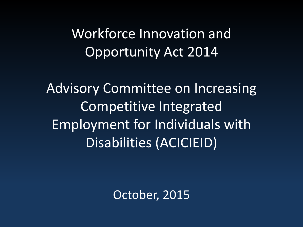Workforce Innovation and Opportunity Act 2014

Advisory Committee on Increasing Competitive Integrated Employment for Individuals with Disabilities (ACICIEID)

October, 2015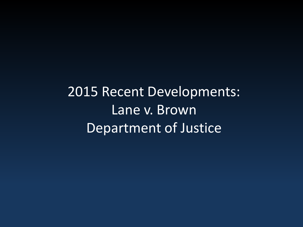2015 Recent Developments: Lane v. Brown Department of Justice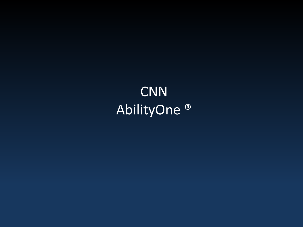# **CNN** AbilityOne ®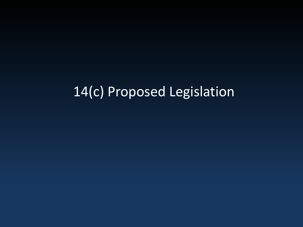## 14(c) Proposed Legislation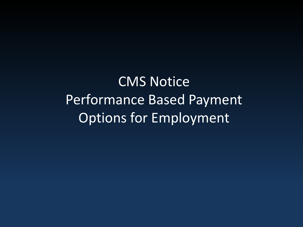CMS Notice Performance Based Payment Options for Employment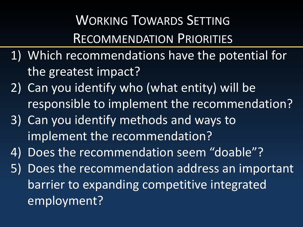RECOMMENDATION PRIORITIES WORKING TOWARDS SETTING

- 1) Which recommendations have the potential for the greatest impact?
- 2) Can you identify who (what entity) will be responsible to implement the recommendation?
- 3) Can you identify methods and ways to implement the recommendation?
- 4) Does the recommendation seem "doable"?
- 5) Does the recommendation address an important barrier to expanding competitive integrated employment?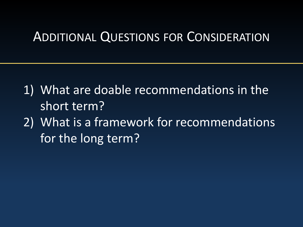#### ADDITIONAL QUESTIONS FOR CONSIDERATION

1) What are doable recommendations in the short term? 2) What is a framework for recommendations for the long term?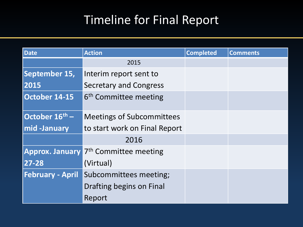## Timeline for Final Report

| <b>Date</b>             | <b>Action</b>                     | <b>Completed</b> | <b>Comments</b> |
|-------------------------|-----------------------------------|------------------|-----------------|
|                         | 2015                              |                  |                 |
| September 15,           | Interim report sent to            |                  |                 |
| 2015                    | Secretary and Congress            |                  |                 |
| October 14-15           | 6 <sup>th</sup> Committee meeting |                  |                 |
| October 16th -          | <b>Meetings of Subcommittees</b>  |                  |                 |
| mid-January             | to start work on Final Report     |                  |                 |
|                         | 2016                              |                  |                 |
| <b>Approx. January</b>  | 7 <sup>th</sup> Committee meeting |                  |                 |
| $27 - 28$               | (Virtual)                         |                  |                 |
| <b>February - April</b> | Subcommittees meeting;            |                  |                 |
|                         | Drafting begins on Final          |                  |                 |
|                         | Report                            |                  |                 |